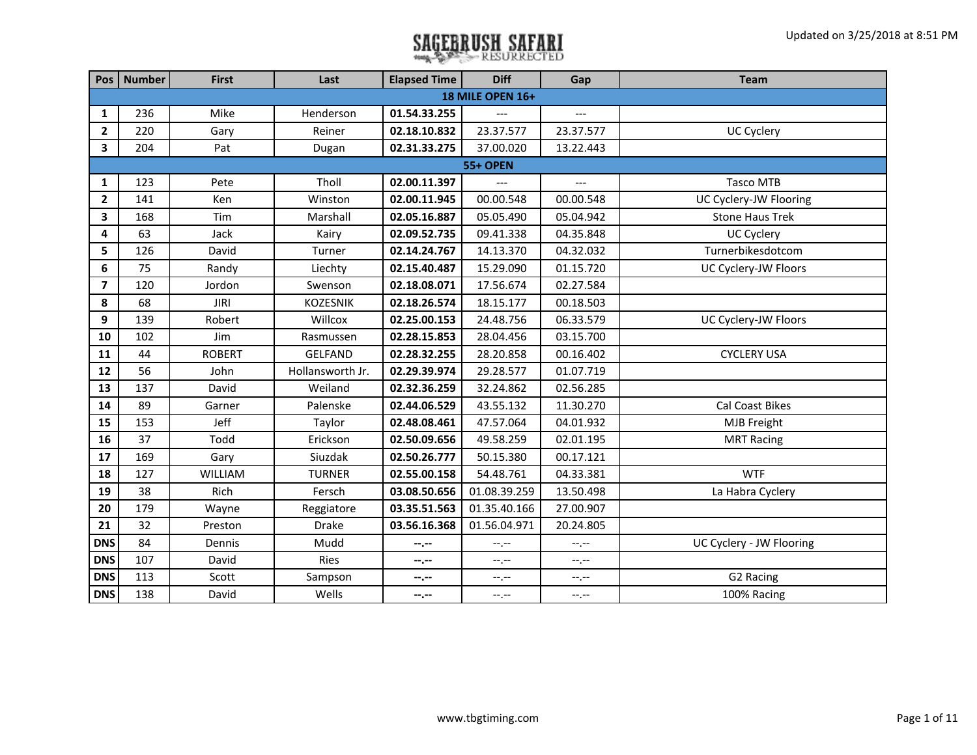|                         | Pos   Number | <b>First</b>  | Last             | <b>Elapsed Time</b> | <b>Diff</b>      | Gap            | <b>Team</b>              |
|-------------------------|--------------|---------------|------------------|---------------------|------------------|----------------|--------------------------|
|                         |              |               |                  |                     | 18 MILE OPEN 16+ |                |                          |
| 1                       | 236          | Mike          | Henderson        | 01.54.33.255        |                  |                |                          |
| $\mathbf{2}$            | 220          | Gary          | Reiner           | 02.18.10.832        | 23.37.577        | 23.37.577      | <b>UC Cyclery</b>        |
| 3                       | 204          | Pat           | Dugan            | 02.31.33.275        | 37.00.020        | 13.22.443      |                          |
|                         |              |               |                  |                     | <b>55+ OPEN</b>  |                |                          |
| 1                       | 123          | Pete          | Tholl            | 02.00.11.397        |                  | $\overline{a}$ | <b>Tasco MTB</b>         |
| $\overline{2}$          | 141          | Ken           | Winston          | 02.00.11.945        | 00.00.548        | 00.00.548      | UC Cyclery-JW Flooring   |
| 3                       | 168          | Tim           | Marshall         | 02.05.16.887        | 05.05.490        | 05.04.942      | <b>Stone Haus Trek</b>   |
| 4                       | 63           | Jack          | Kairy            | 02.09.52.735        | 09.41.338        | 04.35.848      | <b>UC Cyclery</b>        |
| 5                       | 126          | David         | Turner           | 02.14.24.767        | 14.13.370        | 04.32.032      | Turnerbikesdotcom        |
| 6                       | 75           | Randy         | Liechty          | 02.15.40.487        | 15.29.090        | 01.15.720      | UC Cyclery-JW Floors     |
| $\overline{\mathbf{z}}$ | 120          | Jordon        | Swenson          | 02.18.08.071        | 17.56.674        | 02.27.584      |                          |
| 8                       | 68           | <b>JIRI</b>   | KOZESNIK         | 02.18.26.574        | 18.15.177        | 00.18.503      |                          |
| 9                       | 139          | Robert        | Willcox          | 02.25.00.153        | 24.48.756        | 06.33.579      | UC Cyclery-JW Floors     |
| 10                      | 102          | Jim           | Rasmussen        | 02.28.15.853        | 28.04.456        | 03.15.700      |                          |
| 11                      | 44           | <b>ROBERT</b> | <b>GELFAND</b>   | 02.28.32.255        | 28.20.858        | 00.16.402      | <b>CYCLERY USA</b>       |
| 12                      | 56           | John          | Hollansworth Jr. | 02.29.39.974        | 29.28.577        | 01.07.719      |                          |
| 13                      | 137          | David         | Weiland          | 02.32.36.259        | 32.24.862        | 02.56.285      |                          |
| 14                      | 89           | Garner        | Palenske         | 02.44.06.529        | 43.55.132        | 11.30.270      | Cal Coast Bikes          |
| 15                      | 153          | Jeff          | Taylor           | 02.48.08.461        | 47.57.064        | 04.01.932      | <b>MJB Freight</b>       |
| 16                      | 37           | Todd          | Erickson         | 02.50.09.656        | 49.58.259        | 02.01.195      | <b>MRT Racing</b>        |
| 17                      | 169          | Gary          | Siuzdak          | 02.50.26.777        | 50.15.380        | 00.17.121      |                          |
| 18                      | 127          | WILLIAM       | <b>TURNER</b>    | 02.55.00.158        | 54.48.761        | 04.33.381      | <b>WTF</b>               |
| 19                      | 38           | Rich          | Fersch           | 03.08.50.656        | 01.08.39.259     | 13.50.498      | La Habra Cyclery         |
| 20                      | 179          | Wayne         | Reggiatore       | 03.35.51.563        | 01.35.40.166     | 27.00.907      |                          |
| 21                      | 32           | Preston       | <b>Drake</b>     | 03.56.16.368        | 01.56.04.971     | 20.24.805      |                          |
| <b>DNS</b>              | 84           | Dennis        | Mudd             | --.--               | $-1, -1$         | --.--          | UC Cyclery - JW Flooring |
| <b>DNS</b>              | 107          | David         | <b>Ries</b>      | --.--               | --.--            | --.--          |                          |
| <b>DNS</b>              | 113          | Scott         | Sampson          | --.--               | --.--            | --.--          | G2 Racing                |
| <b>DNS</b>              | 138          | David         | Wells            | --.--               | --.--            | --.--          | 100% Racing              |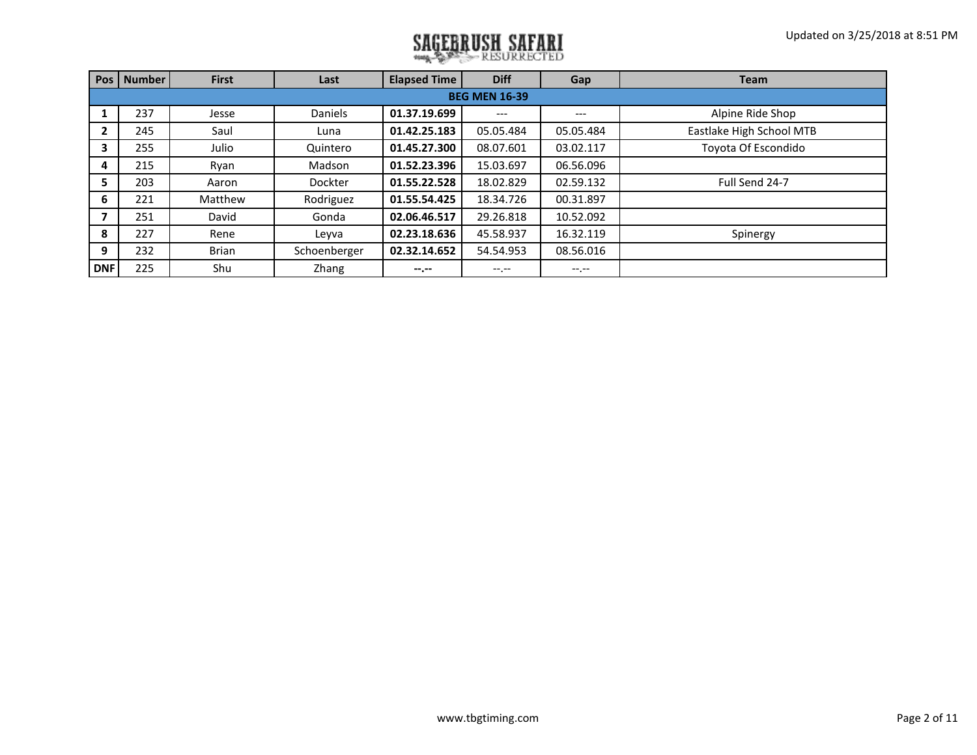| <b>Pos</b>   | <b>Number</b>        | <b>First</b> | Last           | <b>Elapsed Time</b> | <b>Diff</b> | Gap       | <b>Team</b>              |  |  |  |  |  |
|--------------|----------------------|--------------|----------------|---------------------|-------------|-----------|--------------------------|--|--|--|--|--|
|              | <b>BEG MEN 16-39</b> |              |                |                     |             |           |                          |  |  |  |  |  |
|              | 237                  | Jesse        | <b>Daniels</b> | 01.37.19.699        | ---         | ---       | Alpine Ride Shop         |  |  |  |  |  |
| $\mathbf{2}$ | 245                  | Saul         | Luna           | 01.42.25.183        | 05.05.484   | 05.05.484 | Eastlake High School MTB |  |  |  |  |  |
| 3            | 255                  | Julio        | Quintero       | 01.45.27.300        | 08.07.601   | 03.02.117 | Toyota Of Escondido      |  |  |  |  |  |
| 4            | 215                  | Ryan         | Madson         | 01.52.23.396        | 15.03.697   | 06.56.096 |                          |  |  |  |  |  |
| 5            | 203                  | Aaron        | <b>Dockter</b> | 01.55.22.528        | 18.02.829   | 02.59.132 | Full Send 24-7           |  |  |  |  |  |
| 6            | 221                  | Matthew      | Rodriguez      | 01.55.54.425        | 18.34.726   | 00.31.897 |                          |  |  |  |  |  |
|              | 251                  | David        | Gonda          | 02.06.46.517        | 29.26.818   | 10.52.092 |                          |  |  |  |  |  |
| 8            | 227                  | Rene         | Leyva          | 02.23.18.636        | 45.58.937   | 16.32.119 | Spinergy                 |  |  |  |  |  |
| 9            | 232                  | <b>Brian</b> | Schoenberger   | 02.32.14.652        | 54.54.953   | 08.56.016 |                          |  |  |  |  |  |
| <b>DNF</b>   | 225                  | Shu          | Zhang          | --.--               | --.--       | $-1.1$    |                          |  |  |  |  |  |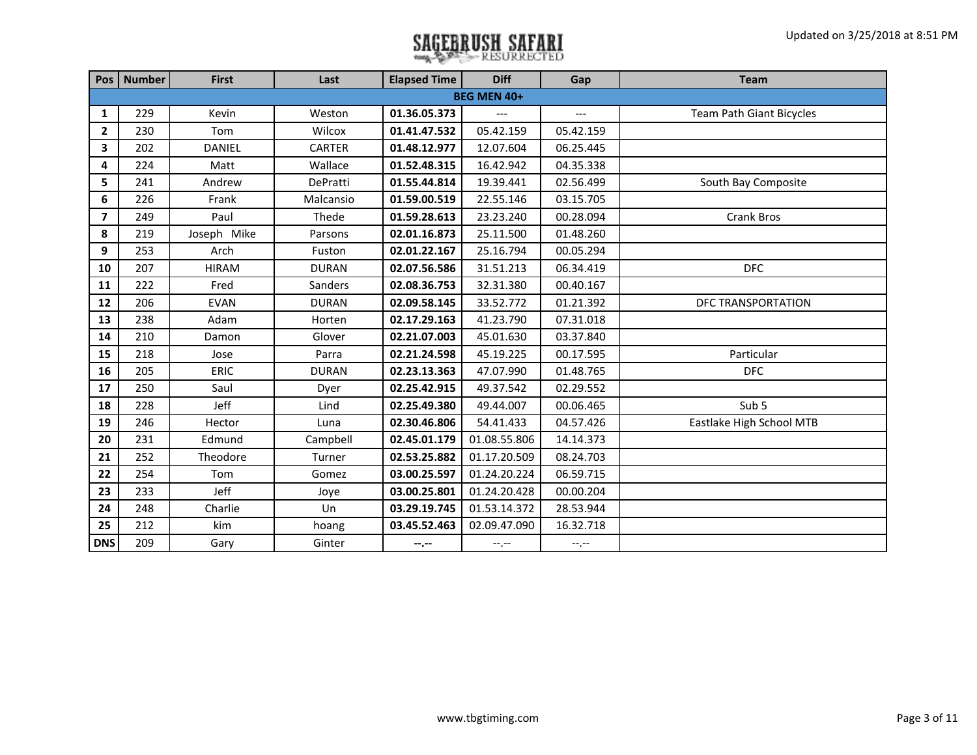|                          | Pos   Number | <b>First</b>  | Last         | <b>Elapsed Time</b> | <b>Diff</b>        | Gap       | <b>Team</b>              |
|--------------------------|--------------|---------------|--------------|---------------------|--------------------|-----------|--------------------------|
|                          |              |               |              |                     | <b>BEG MEN 40+</b> |           |                          |
| $\mathbf{1}$             | 229          | Kevin         | Weston       | 01.36.05.373        |                    | ---       | Team Path Giant Bicycles |
| $\overline{2}$           | 230          | Tom           | Wilcox       | 01.41.47.532        | 05.42.159          | 05.42.159 |                          |
| 3                        | 202          | <b>DANIEL</b> | CARTER       | 01.48.12.977        | 12.07.604          | 06.25.445 |                          |
| 4                        | 224          | Matt          | Wallace      | 01.52.48.315        | 16.42.942          | 04.35.338 |                          |
| 5                        | 241          | Andrew        | DePratti     | 01.55.44.814        | 19.39.441          | 02.56.499 | South Bay Composite      |
| 6                        | 226          | Frank         | Malcansio    | 01.59.00.519        | 22.55.146          | 03.15.705 |                          |
| $\overline{\phantom{a}}$ | 249          | Paul          | Thede        | 01.59.28.613        | 23.23.240          | 00.28.094 | Crank Bros               |
| 8                        | 219          | Joseph Mike   | Parsons      | 02.01.16.873        | 25.11.500          | 01.48.260 |                          |
| 9                        | 253          | Arch          | Fuston       | 02.01.22.167        | 25.16.794          | 00.05.294 |                          |
| 10                       | 207          | <b>HIRAM</b>  | <b>DURAN</b> | 02.07.56.586        | 31.51.213          | 06.34.419 | <b>DFC</b>               |
| 11                       | 222          | Fred          | Sanders      | 02.08.36.753        | 32.31.380          | 00.40.167 |                          |
| 12                       | 206          | <b>EVAN</b>   | <b>DURAN</b> | 02.09.58.145        | 33.52.772          | 01.21.392 | DFC TRANSPORTATION       |
| 13                       | 238          | Adam          | Horten       | 02.17.29.163        | 41.23.790          | 07.31.018 |                          |
| 14                       | 210          | Damon         | Glover       | 02.21.07.003        | 45.01.630          | 03.37.840 |                          |
| 15                       | 218          | Jose          | Parra        | 02.21.24.598        | 45.19.225          | 00.17.595 | Particular               |
| 16                       | 205          | <b>ERIC</b>   | <b>DURAN</b> | 02.23.13.363        | 47.07.990          | 01.48.765 | <b>DFC</b>               |
| 17                       | 250          | Saul          | Dyer         | 02.25.42.915        | 49.37.542          | 02.29.552 |                          |
| 18                       | 228          | Jeff          | Lind         | 02.25.49.380        | 49.44.007          | 00.06.465 | Sub 5                    |
| 19                       | 246          | Hector        | Luna         | 02.30.46.806        | 54.41.433          | 04.57.426 | Eastlake High School MTB |
| 20                       | 231          | Edmund        | Campbell     | 02.45.01.179        | 01.08.55.806       | 14.14.373 |                          |
| 21                       | 252          | Theodore      | Turner       | 02.53.25.882        | 01.17.20.509       | 08.24.703 |                          |
| 22                       | 254          | Tom           | Gomez        | 03.00.25.597        | 01.24.20.224       | 06.59.715 |                          |
| 23                       | 233          | Jeff          | Joye         | 03.00.25.801        | 01.24.20.428       | 00.00.204 |                          |
| 24                       | 248          | Charlie       | Un           | 03.29.19.745        | 01.53.14.372       | 28.53.944 |                          |
| 25                       | 212          | kim           | hoang        | 03.45.52.463        | 02.09.47.090       | 16.32.718 |                          |
| <b>DNS</b>               | 209          | Gary          | Ginter       | $-$ , $-$           | $-1, -1$           | $-1, -1$  |                          |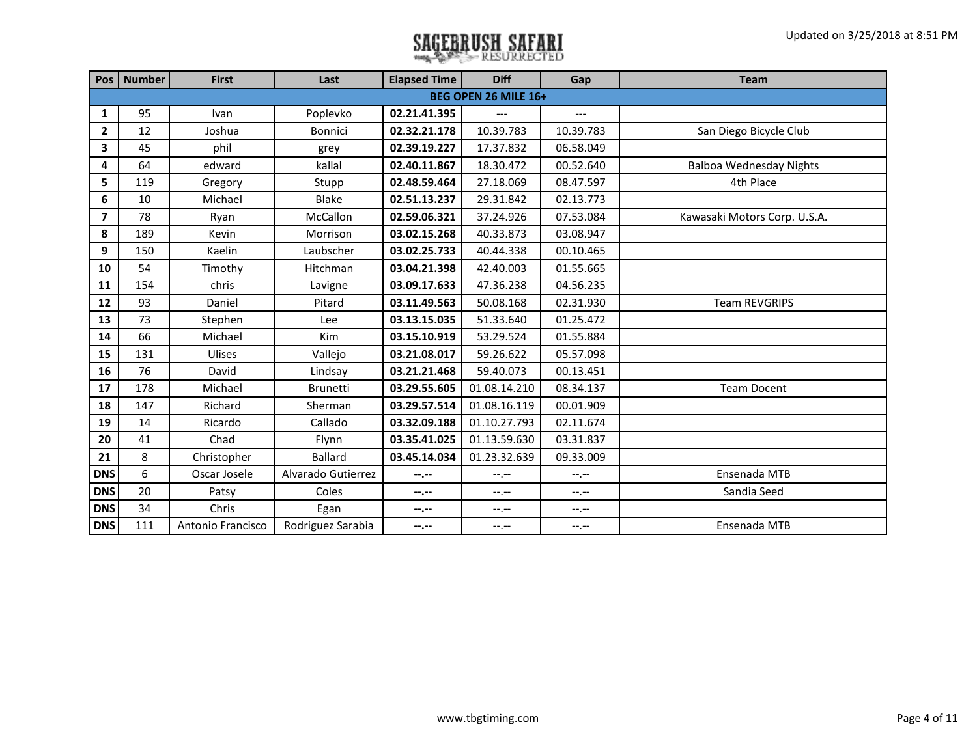|                | Pos   Number | <b>First</b>      | Last               | <b>Elapsed Time</b> | <b>Diff</b>          | Gap         | <b>Team</b>                    |
|----------------|--------------|-------------------|--------------------|---------------------|----------------------|-------------|--------------------------------|
|                |              |                   |                    |                     | BEG OPEN 26 MILE 16+ |             |                                |
| 1              | 95           | Ivan              | Poplevko           | 02.21.41.395        | $\overline{a}$       | $---$       |                                |
| $\overline{2}$ | 12           | Joshua            | <b>Bonnici</b>     | 02.32.21.178        | 10.39.783            | 10.39.783   | San Diego Bicycle Club         |
| 3              | 45           | phil              | grey               | 02.39.19.227        | 17.37.832            | 06.58.049   |                                |
| 4              | 64           | edward            | kallal             | 02.40.11.867        | 18.30.472            | 00.52.640   | <b>Balboa Wednesday Nights</b> |
| 5              | 119          | Gregory           | Stupp              | 02.48.59.464        | 27.18.069            | 08.47.597   | 4th Place                      |
| 6              | 10           | Michael           | Blake              | 02.51.13.237        | 29.31.842            | 02.13.773   |                                |
| $\overline{7}$ | 78           | Ryan              | McCallon           | 02.59.06.321        | 37.24.926            | 07.53.084   | Kawasaki Motors Corp. U.S.A.   |
| 8              | 189          | Kevin             | Morrison           | 03.02.15.268        | 40.33.873            | 03.08.947   |                                |
| 9              | 150          | Kaelin            | Laubscher          | 03.02.25.733        | 40.44.338            | 00.10.465   |                                |
| 10             | 54           | Timothy           | Hitchman           | 03.04.21.398        | 42.40.003            | 01.55.665   |                                |
| 11             | 154          | chris             | Lavigne            | 03.09.17.633        | 47.36.238            | 04.56.235   |                                |
| 12             | 93           | Daniel            | Pitard             | 03.11.49.563        | 50.08.168            | 02.31.930   | <b>Team REVGRIPS</b>           |
| 13             | 73           | Stephen           | Lee                | 03.13.15.035        | 51.33.640            | 01.25.472   |                                |
| 14             | 66           | Michael           | Kim                | 03.15.10.919        | 53.29.524            | 01.55.884   |                                |
| 15             | 131          | Ulises            | Vallejo            | 03.21.08.017        | 59.26.622            | 05.57.098   |                                |
| 16             | 76           | David             | Lindsay            | 03.21.21.468        | 59.40.073            | 00.13.451   |                                |
| 17             | 178          | Michael           | <b>Brunetti</b>    | 03.29.55.605        | 01.08.14.210         | 08.34.137   | <b>Team Docent</b>             |
| 18             | 147          | Richard           | Sherman            | 03.29.57.514        | 01.08.16.119         | 00.01.909   |                                |
| 19             | 14           | Ricardo           | Callado            | 03.32.09.188        | 01.10.27.793         | 02.11.674   |                                |
| 20             | 41           | Chad              | Flynn              | 03.35.41.025        | 01.13.59.630         | 03.31.837   |                                |
| 21             | 8            | Christopher       | <b>Ballard</b>     | 03.45.14.034        | 01.23.32.639         | 09.33.009   |                                |
| <b>DNS</b>     | 6            | Oscar Josele      | Alvarado Gutierrez | --.--               | $-1$                 | $-1$ , $-1$ | Ensenada MTB                   |
| <b>DNS</b>     | 20           | Patsy             | Coles              | --.--               | $-1, -1$             | $-1, -1$    | Sandia Seed                    |
| <b>DNS</b>     | 34           | Chris             | Egan               | --.--               | --.--                | $-1, -1$    |                                |
| <b>DNS</b>     | 111          | Antonio Francisco | Rodriguez Sarabia  | $-2 - 1$            | $-1, -1$             | $-1, -1$    | Ensenada MTB                   |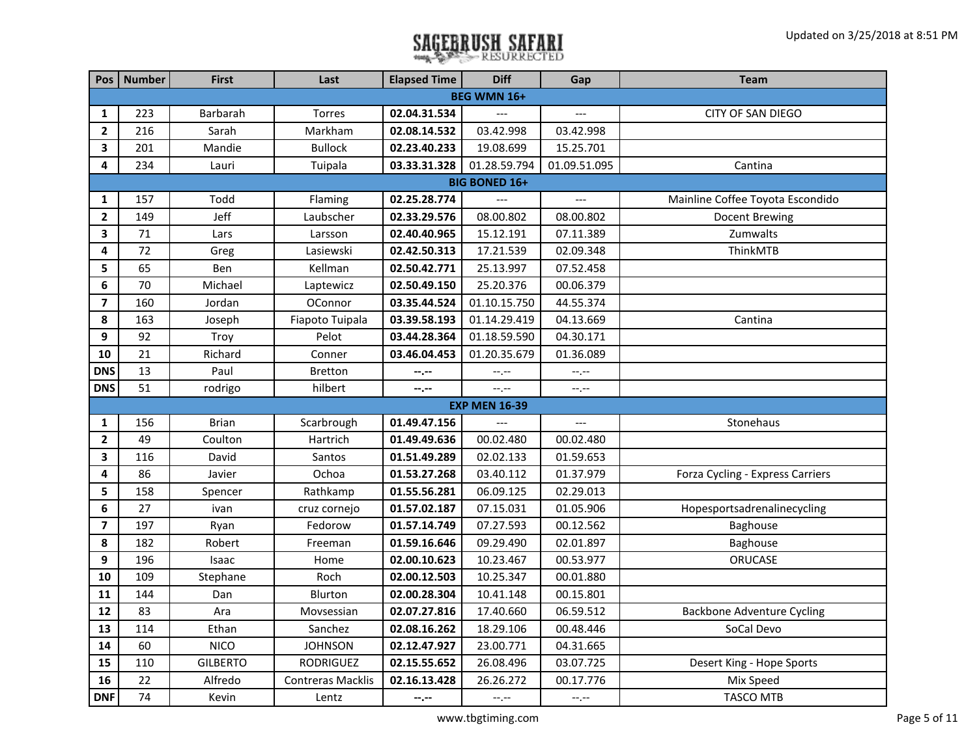|                         | Pos   Number | <b>First</b>    | Last                     | <b>Elapsed Time</b> | <b>Diff</b>                 | Gap                 | <b>Team</b>                       |
|-------------------------|--------------|-----------------|--------------------------|---------------------|-----------------------------|---------------------|-----------------------------------|
|                         |              |                 |                          |                     | <b>BEG WMN 16+</b>          |                     |                                   |
| 1                       | 223          | Barbarah        | Torres                   | 02.04.31.534        |                             | ---                 | CITY OF SAN DIEGO                 |
| $\mathbf{2}$            | 216          | Sarah           | Markham                  | 02.08.14.532        | 03.42.998                   | 03.42.998           |                                   |
| 3                       | 201          | Mandie          | <b>Bullock</b>           | 02.23.40.233        | 19.08.699                   | 15.25.701           |                                   |
| 4                       | 234          | Lauri           | Tuipala                  | 03.33.31.328        | 01.28.59.794                | 01.09.51.095        | Cantina                           |
|                         |              |                 |                          |                     | <b>BIG BONED 16+</b>        |                     |                                   |
| $\mathbf{1}$            | 157          | Todd            | Flaming                  | 02.25.28.774        | $\overline{a}$              | $\qquad \qquad - -$ | Mainline Coffee Toyota Escondido  |
| $\mathbf{2}$            | 149          | Jeff            | Laubscher                | 02.33.29.576        | 08.00.802                   | 08.00.802           | <b>Docent Brewing</b>             |
| 3                       | 71           | Lars            | Larsson                  | 02.40.40.965        | 15.12.191                   | 07.11.389           | Zumwalts                          |
| 4                       | 72           | Greg            | Lasiewski                | 02.42.50.313        | 17.21.539                   | 02.09.348           | ThinkMTB                          |
| 5                       | 65           | Ben             | Kellman                  | 02.50.42.771        | 25.13.997                   | 07.52.458           |                                   |
| 6                       | 70           | Michael         | Laptewicz                | 02.50.49.150        | 25.20.376                   | 00.06.379           |                                   |
| $\overline{\mathbf{z}}$ | 160          | Jordan          | OConnor                  | 03.35.44.524        | 01.10.15.750                | 44.55.374           |                                   |
| 8                       | 163          | Joseph          | Fiapoto Tuipala          | 03.39.58.193        | 01.14.29.419                | 04.13.669           | Cantina                           |
| 9                       | 92           | Troy            | Pelot                    | 03.44.28.364        | 01.18.59.590                | 04.30.171           |                                   |
| 10                      | 21           | Richard         | Conner                   | 03.46.04.453        | 01.20.35.679                | 01.36.089           |                                   |
| <b>DNS</b>              | 13           | Paul            | <b>Bretton</b>           | $-1 - 1 - 1 = 0$    | $\leftarrow$ , $\leftarrow$ | --.--               |                                   |
| <b>DNS</b>              | 51           | rodrigo         | hilbert                  | $-1 - 1 - 1 = 0$    | $-1$ , $-1$                 | $-1$                |                                   |
|                         |              |                 |                          |                     | <b>EXP MEN 16-39</b>        |                     |                                   |
| $\mathbf{1}$            | 156          | <b>Brian</b>    | Scarbrough               | 01.49.47.156        | $---$                       | ---                 | Stonehaus                         |
| $\mathbf{2}$            | 49           | Coulton         | Hartrich                 | 01.49.49.636        | 00.02.480                   | 00.02.480           |                                   |
| 3                       | 116          | David           | Santos                   | 01.51.49.289        | 02.02.133                   | 01.59.653           |                                   |
| 4                       | 86           | Javier          | Ochoa                    | 01.53.27.268        | 03.40.112                   | 01.37.979           | Forza Cycling - Express Carriers  |
| 5                       | 158          | Spencer         | Rathkamp                 | 01.55.56.281        | 06.09.125                   | 02.29.013           |                                   |
| 6                       | 27           | ivan            | cruz cornejo             | 01.57.02.187        | 07.15.031                   | 01.05.906           | Hopesportsadrenalinecycling       |
| $\overline{ }$          | 197          | Ryan            | Fedorow                  | 01.57.14.749        | 07.27.593                   | 00.12.562           | Baghouse                          |
| 8                       | 182          | Robert          | Freeman                  | 01.59.16.646        | 09.29.490                   | 02.01.897           | Baghouse                          |
| 9                       | 196          | Isaac           | Home                     | 02.00.10.623        | 10.23.467                   | 00.53.977           | ORUCASE                           |
| 10                      | 109          | Stephane        | Roch                     | 02.00.12.503        | 10.25.347                   | 00.01.880           |                                   |
| 11                      | 144          | Dan             | Blurton                  | 02.00.28.304        | 10.41.148                   | 00.15.801           |                                   |
| 12                      | 83           | Ara             | Movsessian               | 02.07.27.816        | 17.40.660                   | 06.59.512           | <b>Backbone Adventure Cycling</b> |
| 13                      | 114          | Ethan           | Sanchez                  | 02.08.16.262        | 18.29.106                   | 00.48.446           | SoCal Devo                        |
| 14                      | 60           | <b>NICO</b>     | <b>JOHNSON</b>           | 02.12.47.927        | 23.00.771                   | 04.31.665           |                                   |
| 15                      | 110          | <b>GILBERTO</b> | RODRIGUEZ                | 02.15.55.652        | 26.08.496                   | 03.07.725           | Desert King - Hope Sports         |
| 16                      | 22           | Alfredo         | <b>Contreras Macklis</b> | 02.16.13.428        | 26.26.272                   | 00.17.776           | Mix Speed                         |
| <b>DNF</b>              | 74           | Kevin           | Lentz                    | $-1 - 1 - 1 = 0$    | $-1, -1$                    | $-1, -1$            | <b>TASCO MTB</b>                  |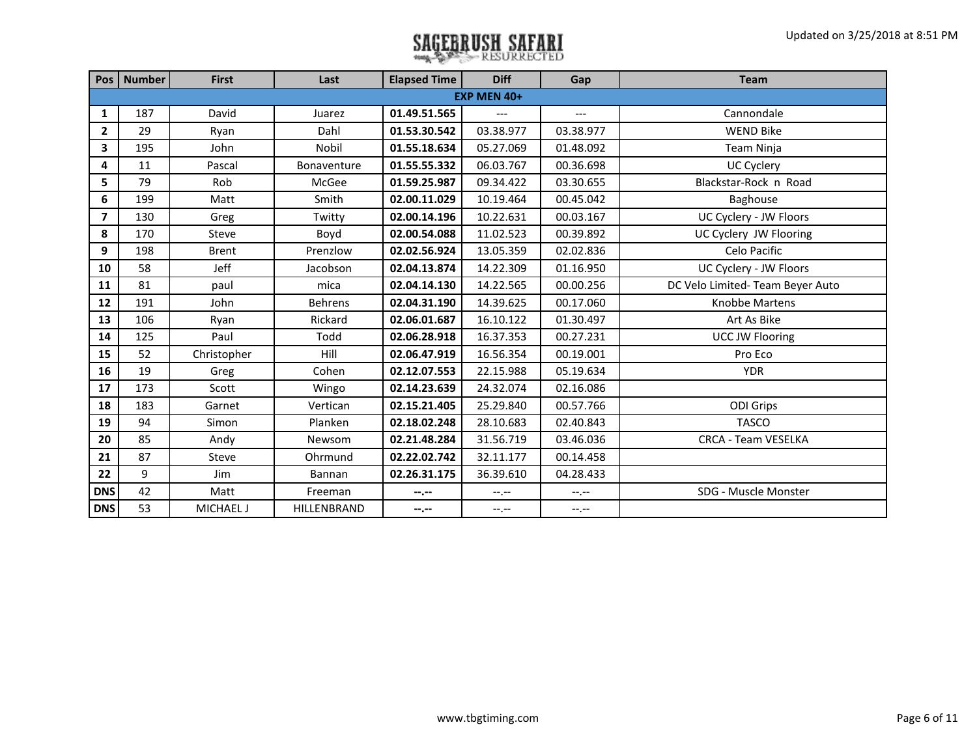|                | Pos   Number | <b>First</b> | Last           | <b>Elapsed Time</b> | <b>Diff</b>      | Gap              | <b>Team</b>                      |
|----------------|--------------|--------------|----------------|---------------------|------------------|------------------|----------------------------------|
|                |              |              |                |                     | EXP MEN 40+      |                  |                                  |
| 1              | 187          | David        | Juarez         | 01.49.51.565        | $---$            | $---$            | Cannondale                       |
| $\overline{2}$ | 29           | Ryan         | Dahl           | 01.53.30.542        | 03.38.977        | 03.38.977        | <b>WEND Bike</b>                 |
| $\mathbf{3}$   | 195          | John         | Nobil          | 01.55.18.634        | 05.27.069        | 01.48.092        | Team Ninja                       |
| 4              | 11           | Pascal       | Bonaventure    | 01.55.55.332        | 06.03.767        | 00.36.698        | <b>UC Cyclery</b>                |
| 5              | 79           | Rob          | McGee          | 01.59.25.987        | 09.34.422        | 03.30.655        | Blackstar-Rock n Road            |
| 6              | 199          | Matt         | Smith          | 02.00.11.029        | 10.19.464        | 00.45.042        | Baghouse                         |
| $\overline{7}$ | 130          | Greg         | Twitty         | 02.00.14.196        | 10.22.631        | 00.03.167        | UC Cyclery - JW Floors           |
| 8              | 170          | Steve        | Boyd           | 02.00.54.088        | 11.02.523        | 00.39.892        | UC Cyclery JW Flooring           |
| 9              | 198          | <b>Brent</b> | Prenzlow       | 02.02.56.924        | 13.05.359        | 02.02.836        | Celo Pacific                     |
| 10             | 58           | Jeff         | Jacobson       | 02.04.13.874        | 14.22.309        | 01.16.950        | UC Cyclery - JW Floors           |
| 11             | 81           | paul         | mica           | 02.04.14.130        | 14.22.565        | 00.00.256        | DC Velo Limited- Team Beyer Auto |
| 12             | 191          | John         | <b>Behrens</b> | 02.04.31.190        | 14.39.625        | 00.17.060        | <b>Knobbe Martens</b>            |
| 13             | 106          | Ryan         | Rickard        | 02.06.01.687        | 16.10.122        | 01.30.497        | Art As Bike                      |
| 14             | 125          | Paul         | Todd           | 02.06.28.918        | 16.37.353        | 00.27.231        | <b>UCC JW Flooring</b>           |
| 15             | 52           | Christopher  | Hill           | 02.06.47.919        | 16.56.354        | 00.19.001        | Pro Eco                          |
| 16             | 19           | Greg         | Cohen          | 02.12.07.553        | 22.15.988        | 05.19.634        | <b>YDR</b>                       |
| 17             | 173          | Scott        | Wingo          | 02.14.23.639        | 24.32.074        | 02.16.086        |                                  |
| 18             | 183          | Garnet       | Vertican       | 02.15.21.405        | 25.29.840        | 00.57.766        | <b>ODI Grips</b>                 |
| 19             | 94           | Simon        | Planken        | 02.18.02.248        | 28.10.683        | 02.40.843        | <b>TASCO</b>                     |
| 20             | 85           | Andy         | Newsom         | 02.21.48.284        | 31.56.719        | 03.46.036        | <b>CRCA - Team VESELKA</b>       |
| 21             | 87           | Steve        | Ohrmund        | 02.22.02.742        | 32.11.177        | 00.14.458        |                                  |
| 22             | 9            | Jim          | Bannan         | 02.26.31.175        | 36.39.610        | 04.28.433        |                                  |
| <b>DNS</b>     | 42           | Matt         | Freeman        | --.--               | $-1 - 1 - 1 = 0$ | $-1 - 1 - 1 = 0$ | SDG - Muscle Monster             |
| <b>DNS</b>     | 53           | MICHAEL J    | HILLENBRAND    | $-2$                | $-1, -1$         | $-1$             |                                  |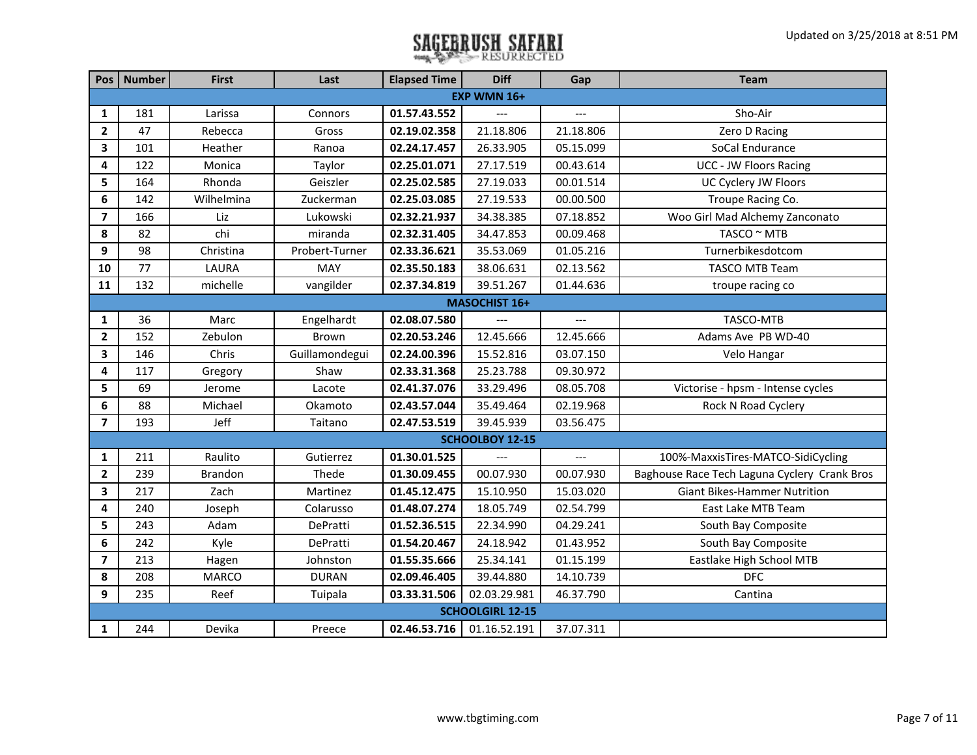|                         | Pos   Number  | <b>First</b>   | Last           | <b>Elapsed Time</b> | <b>Diff</b>             | Gap            | <b>Team</b>                                  |  |  |  |
|-------------------------|---------------|----------------|----------------|---------------------|-------------------------|----------------|----------------------------------------------|--|--|--|
|                         |               |                |                |                     | EXP WMN 16+             |                |                                              |  |  |  |
| 1                       | 181           | Larissa        | Connors        | 01.57.43.552        |                         |                | Sho-Air                                      |  |  |  |
| $\overline{2}$          | 47            | Rebecca        | Gross          | 02.19.02.358        | 21.18.806               | 21.18.806      | Zero D Racing                                |  |  |  |
| 3                       | 101           | Heather        | Ranoa          | 02.24.17.457        | 26.33.905               | 05.15.099      | SoCal Endurance                              |  |  |  |
| 4                       | 122           | Monica         | Taylor         | 02.25.01.071        | 27.17.519               | 00.43.614      | <b>UCC - JW Floors Racing</b>                |  |  |  |
| 5                       | 164           | Rhonda         | Geiszler       | 02.25.02.585        | 27.19.033               | 00.01.514      | UC Cyclery JW Floors                         |  |  |  |
| 6                       | 142           | Wilhelmina     | Zuckerman      | 02.25.03.085        | 27.19.533               | 00.00.500      | Troupe Racing Co.                            |  |  |  |
| $\overline{7}$          | 166           | Liz            | Lukowski       | 02.32.21.937        | 34.38.385               | 07.18.852      | Woo Girl Mad Alchemy Zanconato               |  |  |  |
| 8                       | 82            | chi            | miranda        | 02.32.31.405        | 34.47.853               | 00.09.468      | TASCO ~ MTB                                  |  |  |  |
| 9                       | 98            | Christina      | Probert-Turner | 02.33.36.621        | 35.53.069               | 01.05.216      | Turnerbikesdotcom                            |  |  |  |
| 10                      | 77            | LAURA          | MAY            | 02.35.50.183        | 38.06.631               | 02.13.562      | <b>TASCO MTB Team</b>                        |  |  |  |
| 11                      | 132           | michelle       | vangilder      | 02.37.34.819        | 39.51.267               | 01.44.636      | troupe racing co                             |  |  |  |
|                         | MASOCHIST 16+ |                |                |                     |                         |                |                                              |  |  |  |
| $\mathbf{1}$            | 36            | Marc           | Engelhardt     | 02.08.07.580        |                         | $\overline{a}$ | TASCO-MTB                                    |  |  |  |
| $\overline{2}$          | 152           | Zebulon        | Brown          | 02.20.53.246        | 12.45.666               | 12.45.666      | Adams Ave PB WD-40                           |  |  |  |
| $\mathbf{3}$            | 146           | Chris          | Guillamondegui | 02.24.00.396        | 15.52.816               | 03.07.150      | Velo Hangar                                  |  |  |  |
| 4                       | 117           | Gregory        | Shaw           | 02.33.31.368        | 25.23.788               | 09.30.972      |                                              |  |  |  |
| 5                       | 69            | Jerome         | Lacote         | 02.41.37.076        | 33.29.496               | 08.05.708      | Victorise - hpsm - Intense cycles            |  |  |  |
| $\boldsymbol{6}$        | 88            | Michael        | Okamoto        | 02.43.57.044        | 35.49.464               | 02.19.968      | Rock N Road Cyclery                          |  |  |  |
| $\overline{7}$          | 193           | Jeff           | Taitano        | 02.47.53.519        | 39.45.939               | 03.56.475      |                                              |  |  |  |
|                         |               |                |                |                     | <b>SCHOOLBOY 12-15</b>  |                |                                              |  |  |  |
| 1                       | 211           | Raulito        | Gutierrez      | 01.30.01.525        | $\overline{a}$          | $-$            | 100%-MaxxisTires-MATCO-SidiCycling           |  |  |  |
| $\mathbf{2}$            | 239           | <b>Brandon</b> | Thede          | 01.30.09.455        | 00.07.930               | 00.07.930      | Baghouse Race Tech Laguna Cyclery Crank Bros |  |  |  |
| $\overline{\mathbf{3}}$ | 217           | Zach           | Martinez       | 01.45.12.475        | 15.10.950               | 15.03.020      | <b>Giant Bikes-Hammer Nutrition</b>          |  |  |  |
| 4                       | 240           | Joseph         | Colarusso      | 01.48.07.274        | 18.05.749               | 02.54.799      | East Lake MTB Team                           |  |  |  |
| 5                       | 243           | Adam           | DePratti       | 01.52.36.515        | 22.34.990               | 04.29.241      | South Bay Composite                          |  |  |  |
| 6                       | 242           | Kyle           | DePratti       | 01.54.20.467        | 24.18.942               | 01.43.952      | South Bay Composite                          |  |  |  |
| $\overline{\mathbf{z}}$ | 213           | Hagen          | Johnston       | 01.55.35.666        | 25.34.141               | 01.15.199      | Eastlake High School MTB                     |  |  |  |
| 8                       | 208           | <b>MARCO</b>   | <b>DURAN</b>   | 02.09.46.405        | 39.44.880               | 14.10.739      | <b>DFC</b>                                   |  |  |  |
| 9                       | 235           | Reef           | Tuipala        | 03.33.31.506        | 02.03.29.981            | 46.37.790      | Cantina                                      |  |  |  |
|                         |               |                |                |                     | <b>SCHOOLGIRL 12-15</b> |                |                                              |  |  |  |
| 1                       | 244           | Devika         | Preece         | 02.46.53.716        | 01.16.52.191            | 37.07.311      |                                              |  |  |  |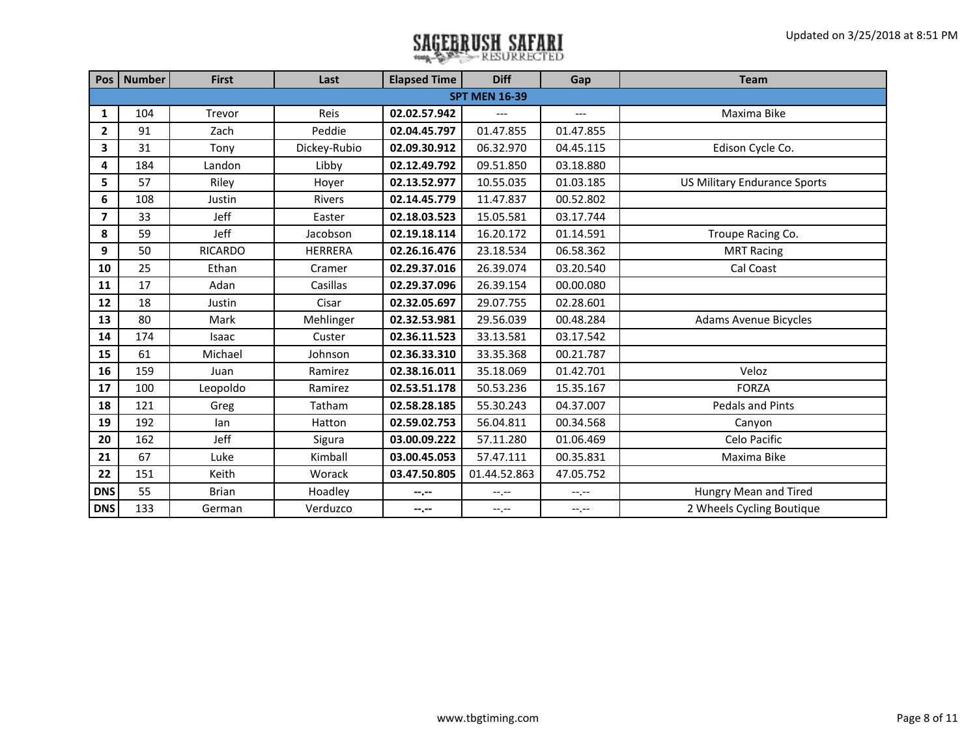|                | Pos   Number | <b>First</b>   | Last           | <b>Elapsed Time</b> | <b>Diff</b>          | Gap              | <b>Team</b>                         |
|----------------|--------------|----------------|----------------|---------------------|----------------------|------------------|-------------------------------------|
|                |              |                |                |                     | <b>SPT MEN 16-39</b> |                  |                                     |
| 1              | 104          | Trevor         | Reis           | 02.02.57.942        | ---                  | $---$            | Maxima Bike                         |
| $\overline{2}$ | 91           | Zach           | Peddie         | 02.04.45.797        | 01.47.855            | 01.47.855        |                                     |
| 3              | 31           | Tony           | Dickey-Rubio   | 02.09.30.912        | 06.32.970            | 04.45.115        | Edison Cycle Co.                    |
| 4              | 184          | Landon         | Libby          | 02.12.49.792        | 09.51.850            | 03.18.880        |                                     |
| 5              | 57           | Riley          | Hoyer          | 02.13.52.977        | 10.55.035            | 01.03.185        | <b>US Military Endurance Sports</b> |
| 6              | 108          | Justin         | <b>Rivers</b>  | 02.14.45.779        | 11.47.837            | 00.52.802        |                                     |
| $\overline{7}$ | 33           | Jeff           | Easter         | 02.18.03.523        | 15.05.581            | 03.17.744        |                                     |
| 8              | 59           | Jeff           | Jacobson       | 02.19.18.114        | 16.20.172            | 01.14.591        | Troupe Racing Co.                   |
| 9              | 50           | <b>RICARDO</b> | <b>HERRERA</b> | 02.26.16.476        | 23.18.534            | 06.58.362        | <b>MRT Racing</b>                   |
| 10             | 25           | Ethan          | Cramer         | 02.29.37.016        | 26.39.074            | 03.20.540        | Cal Coast                           |
| 11             | 17           | Adan           | Casillas       | 02.29.37.096        | 26.39.154            | 00.00.080        |                                     |
| 12             | 18           | Justin         | Cisar          | 02.32.05.697        | 29.07.755            | 02.28.601        |                                     |
| 13             | 80           | Mark           | Mehlinger      | 02.32.53.981        | 29.56.039            | 00.48.284        | <b>Adams Avenue Bicycles</b>        |
| 14             | 174          | Isaac          | Custer         | 02.36.11.523        | 33.13.581            | 03.17.542        |                                     |
| 15             | 61           | Michael        | Johnson        | 02.36.33.310        | 33.35.368            | 00.21.787        |                                     |
| 16             | 159          | Juan           | Ramirez        | 02.38.16.011        | 35.18.069            | 01.42.701        | Veloz                               |
| 17             | 100          | Leopoldo       | Ramirez        | 02.53.51.178        | 50.53.236            | 15.35.167        | <b>FORZA</b>                        |
| 18             | 121          | Greg           | Tatham         | 02.58.28.185        | 55.30.243            | 04.37.007        | <b>Pedals and Pints</b>             |
| 19             | 192          | lan            | Hatton         | 02.59.02.753        | 56.04.811            | 00.34.568        | Canyon                              |
| 20             | 162          | Jeff           | Sigura         | 03.00.09.222        | 57.11.280            | 01.06.469        | Celo Pacific                        |
| 21             | 67           | Luke           | Kimball        | 03.00.45.053        | 57.47.111            | 00.35.831        | Maxima Bike                         |
| 22             | 151          | Keith          | Worack         | 03.47.50.805        | 01.44.52.863         | 47.05.752        |                                     |
| <b>DNS</b>     | 55           | <b>Brian</b>   | Hoadley        | --.--               | $-1, -1$             | --.--            | Hungry Mean and Tired               |
| <b>DNS</b>     | 133          | German         | Verduzco       | --.--               | $-1, -1$             | $-1 - 1 - 1 = 0$ | 2 Wheels Cycling Boutique           |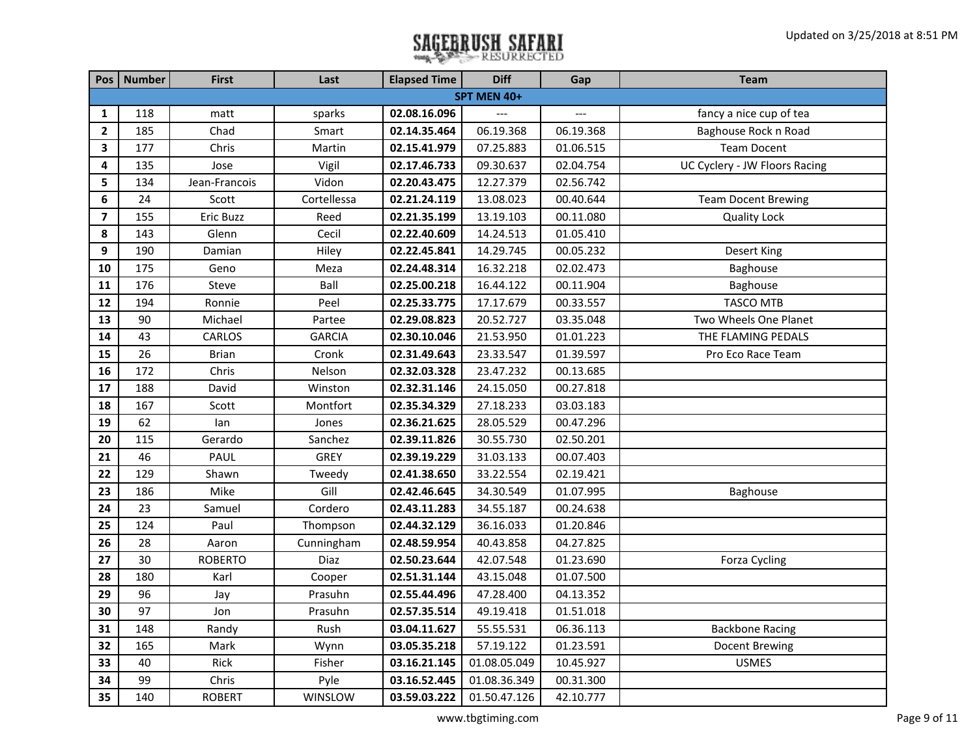|                         | Pos   Number | <b>First</b>   | Last          | <b>Elapsed Time</b> | <b>Diff</b>  | Gap       | <b>Team</b>                   |
|-------------------------|--------------|----------------|---------------|---------------------|--------------|-----------|-------------------------------|
|                         |              |                |               |                     | SPT MEN 40+  |           |                               |
| 1                       | 118          | matt           | sparks        | 02.08.16.096        |              | $---$     | fancy a nice cup of tea       |
| $\mathbf{2}$            | 185          | Chad           | Smart         | 02.14.35.464        | 06.19.368    | 06.19.368 | Baghouse Rock n Road          |
| 3                       | 177          | Chris          | Martin        | 02.15.41.979        | 07.25.883    | 01.06.515 | <b>Team Docent</b>            |
| 4                       | 135          | Jose           | Vigil         | 02.17.46.733        | 09.30.637    | 02.04.754 | UC Cyclery - JW Floors Racing |
| 5                       | 134          | Jean-Francois  | Vidon         | 02.20.43.475        | 12.27.379    | 02.56.742 |                               |
| 6                       | 24           | Scott          | Cortellessa   | 02.21.24.119        | 13.08.023    | 00.40.644 | <b>Team Docent Brewing</b>    |
| $\overline{\mathbf{z}}$ | 155          | Eric Buzz      | Reed          | 02.21.35.199        | 13.19.103    | 00.11.080 | <b>Quality Lock</b>           |
| 8                       | 143          | Glenn          | Cecil         | 02.22.40.609        | 14.24.513    | 01.05.410 |                               |
| 9                       | 190          | Damian         | Hiley         | 02.22.45.841        | 14.29.745    | 00.05.232 | Desert King                   |
| 10                      | 175          | Geno           | Meza          | 02.24.48.314        | 16.32.218    | 02.02.473 | Baghouse                      |
| 11                      | 176          | Steve          | Ball          | 02.25.00.218        | 16.44.122    | 00.11.904 | Baghouse                      |
| 12                      | 194          | Ronnie         | Peel          | 02.25.33.775        | 17.17.679    | 00.33.557 | <b>TASCO MTB</b>              |
| 13                      | 90           | Michael        | Partee        | 02.29.08.823        | 20.52.727    | 03.35.048 | Two Wheels One Planet         |
| 14                      | 43           | CARLOS         | <b>GARCIA</b> | 02.30.10.046        | 21.53.950    | 01.01.223 | THE FLAMING PEDALS            |
| 15                      | 26           | <b>Brian</b>   | Cronk         | 02.31.49.643        | 23.33.547    | 01.39.597 | Pro Eco Race Team             |
| 16                      | 172          | Chris          | Nelson        | 02.32.03.328        | 23.47.232    | 00.13.685 |                               |
| 17                      | 188          | David          | Winston       | 02.32.31.146        | 24.15.050    | 00.27.818 |                               |
| 18                      | 167          | Scott          | Montfort      | 02.35.34.329        | 27.18.233    | 03.03.183 |                               |
| 19                      | 62           | lan            | Jones         | 02.36.21.625        | 28.05.529    | 00.47.296 |                               |
| 20                      | 115          | Gerardo        | Sanchez       | 02.39.11.826        | 30.55.730    | 02.50.201 |                               |
| 21                      | 46           | PAUL           | <b>GREY</b>   | 02.39.19.229        | 31.03.133    | 00.07.403 |                               |
| 22                      | 129          | Shawn          | Tweedy        | 02.41.38.650        | 33.22.554    | 02.19.421 |                               |
| 23                      | 186          | Mike           | Gill          | 02.42.46.645        | 34.30.549    | 01.07.995 | Baghouse                      |
| 24                      | 23           | Samuel         | Cordero       | 02.43.11.283        | 34.55.187    | 00.24.638 |                               |
| 25                      | 124          | Paul           | Thompson      | 02.44.32.129        | 36.16.033    | 01.20.846 |                               |
| 26                      | 28           | Aaron          | Cunningham    | 02.48.59.954        | 40.43.858    | 04.27.825 |                               |
| 27                      | 30           | <b>ROBERTO</b> | Diaz          | 02.50.23.644        | 42.07.548    | 01.23.690 | Forza Cycling                 |
| 28                      | 180          | Karl           | Cooper        | 02.51.31.144        | 43.15.048    | 01.07.500 |                               |
| 29                      | 96           | Jay            | Prasuhn       | 02.55.44.496        | 47.28.400    | 04.13.352 |                               |
| 30                      | 97           | Jon            | Prasuhn       | 02.57.35.514        | 49.19.418    | 01.51.018 |                               |
| 31                      | 148          | Randy          | Rush          | 03.04.11.627        | 55.55.531    | 06.36.113 | <b>Backbone Racing</b>        |
| 32                      | 165          | Mark           | Wynn          | 03.05.35.218        | 57.19.122    | 01.23.591 | Docent Brewing                |
| 33                      | 40           | Rick           | Fisher        | 03.16.21.145        | 01.08.05.049 | 10.45.927 | <b>USMES</b>                  |
| 34                      | 99           | Chris          | Pyle          | 03.16.52.445        | 01.08.36.349 | 00.31.300 |                               |
| 35                      | 140          | <b>ROBERT</b>  | WINSLOW       | 03.59.03.222        | 01.50.47.126 | 42.10.777 |                               |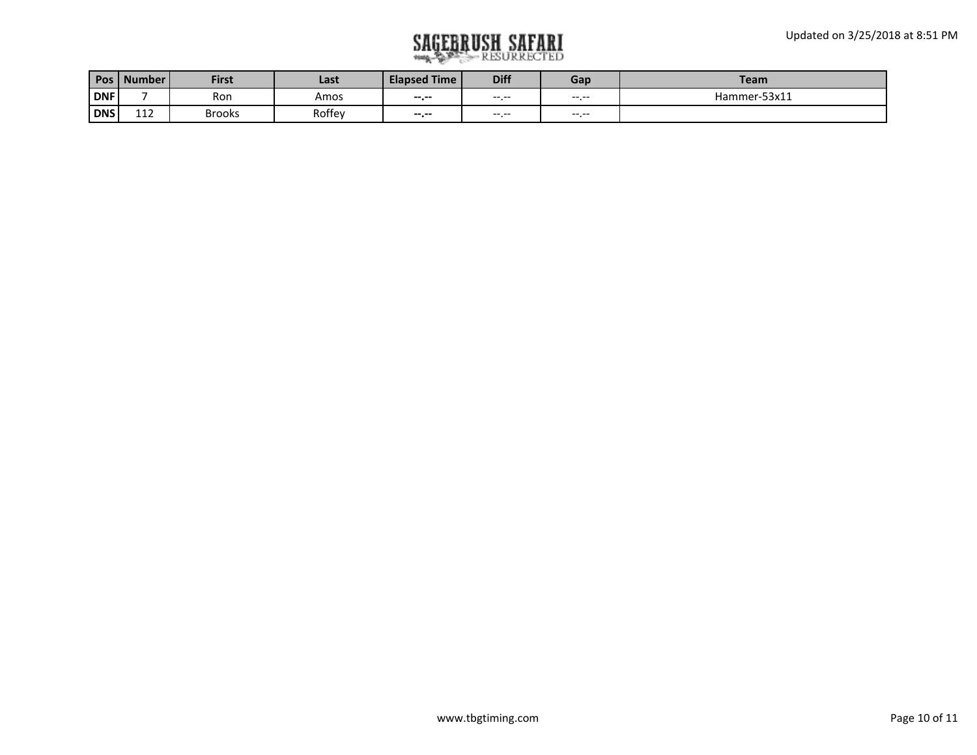| Pos        | Number L | <b>First</b>  | Last   | <b>Elapsed Time</b> | <b>Diff</b> | Gap   | <b>Team</b>  |
|------------|----------|---------------|--------|---------------------|-------------|-------|--------------|
| <b>DNF</b> |          | Ron           | Amos   | $-1$                | $---$       | $---$ | Hammer-53x11 |
| DNS        | 112      | <b>Brooks</b> | Roffey | $-1.1$              | $---$       |       |              |